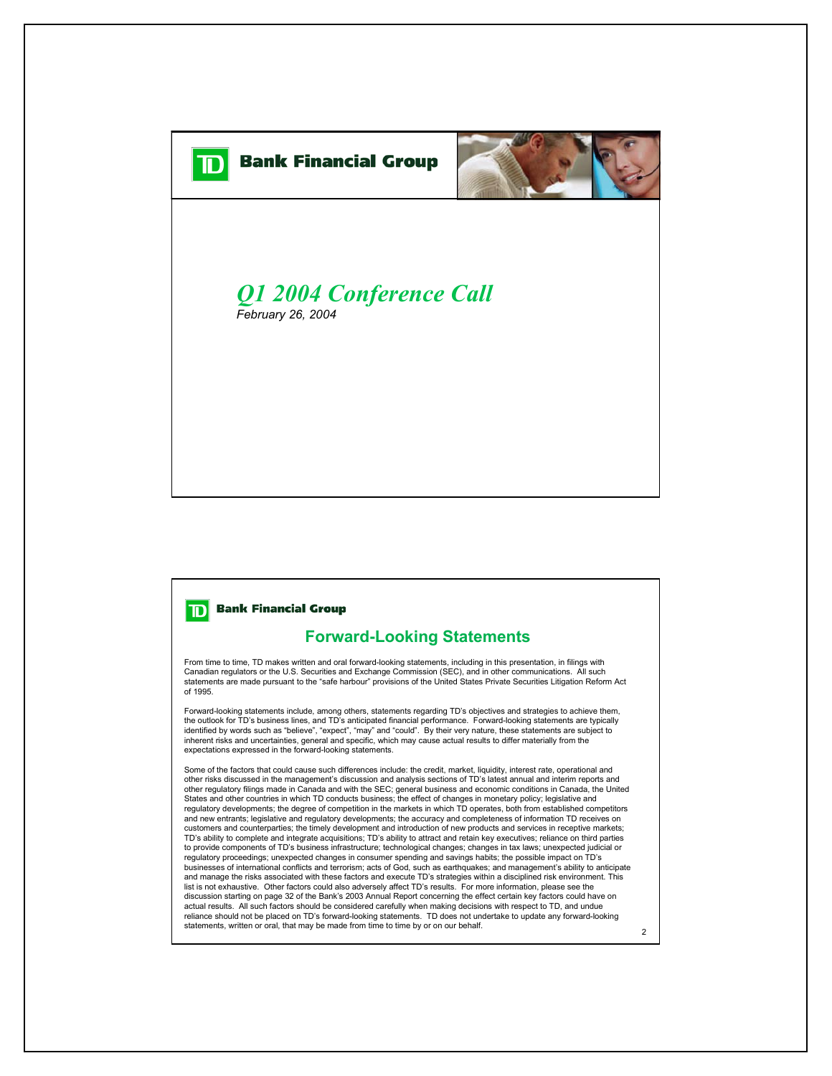

## **Bank Financial Group** וםד

## **Forward-Looking Statements**

From time to time, TD makes written and oral forward-looking statements, including in this presentation, in filings with Canadian regulators or the U.S. Securities and Exchange Commission (SEC), and in other communications. All such statements are made pursuant to the "safe harbour" provisions of the United States Private Securities Litigation Reform Act of 1995.

Forward-looking statements include, among others, statements regarding TD's objectives and strategies to achieve them, the outlook for TD's business lines, and TD's anticipated financial performance. Forward-looking statements are typically identified by words such as "believe", "expect", "may" and "could". By their very nature, these statements are subject to inherent risks and uncertainties, general and specific, which may cause actual results to differ materially from the expectations expressed in the forward-looking statements.

Some of the factors that could cause such differences include: the credit, market, liquidity, interest rate, operational and other risks discussed in the management's discussion and analysis sections of TD's latest annual and interim reports and other regulatory filings made in Canada and with the SEC; general business and economic conditions in Canada, the United States and other countries in which TD conducts business; the effect of changes in monetary policy; legislative and regulatory developments; the degree of competition in the markets in which TD operates, both from established competitors and new entrants; legislative and regulatory developments; the accuracy and completeness of information TD receives on customers and counterparties; the timely development and introduction of new products and services in receptive markets; TD's ability to complete and integrate acquisitions; TD's ability to attract and retain key executives; reliance on third parties to provide components of TD's business infrastructure; technological changes; changes in tax laws; unexpected judicial or regulatory proceedings; unexpected changes in consumer spending and savings habits; the possible impact on TD's businesses of international conflicts and terrorism; acts of God, such as earthquakes; and management's ability to anticipate and manage the risks associated with these factors and execute TD's strategies within a disciplined risk environment. This list is not exhaustive. Other factors could also adversely affect TD's results. For more information, please see the discussion starting on page 32 of the Bank's 2003 Annual Report concerning the effect certain key factors could have on actual results. All such factors should be considered carefully when making decisions with respect to TD, and undue reliance should not be placed on TD's forward-looking statements. TD does not undertake to update any forward-looking statements, written or oral, that may be made from time to time by or on our behalf.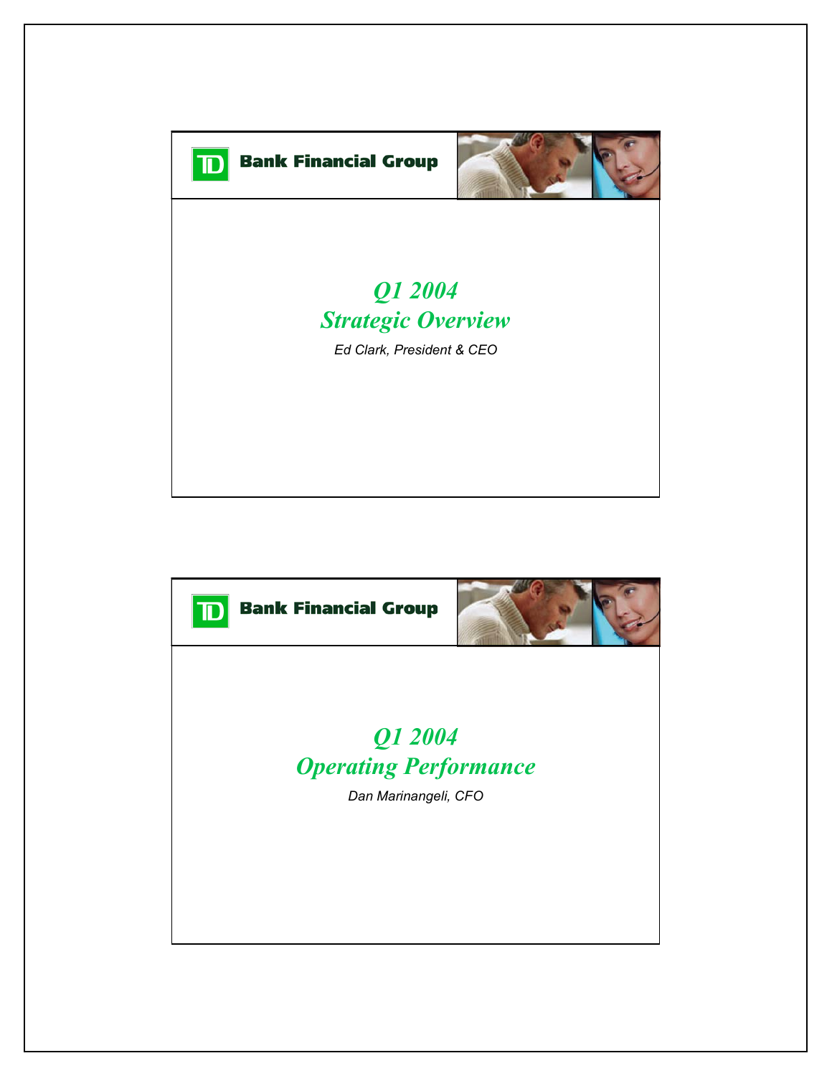

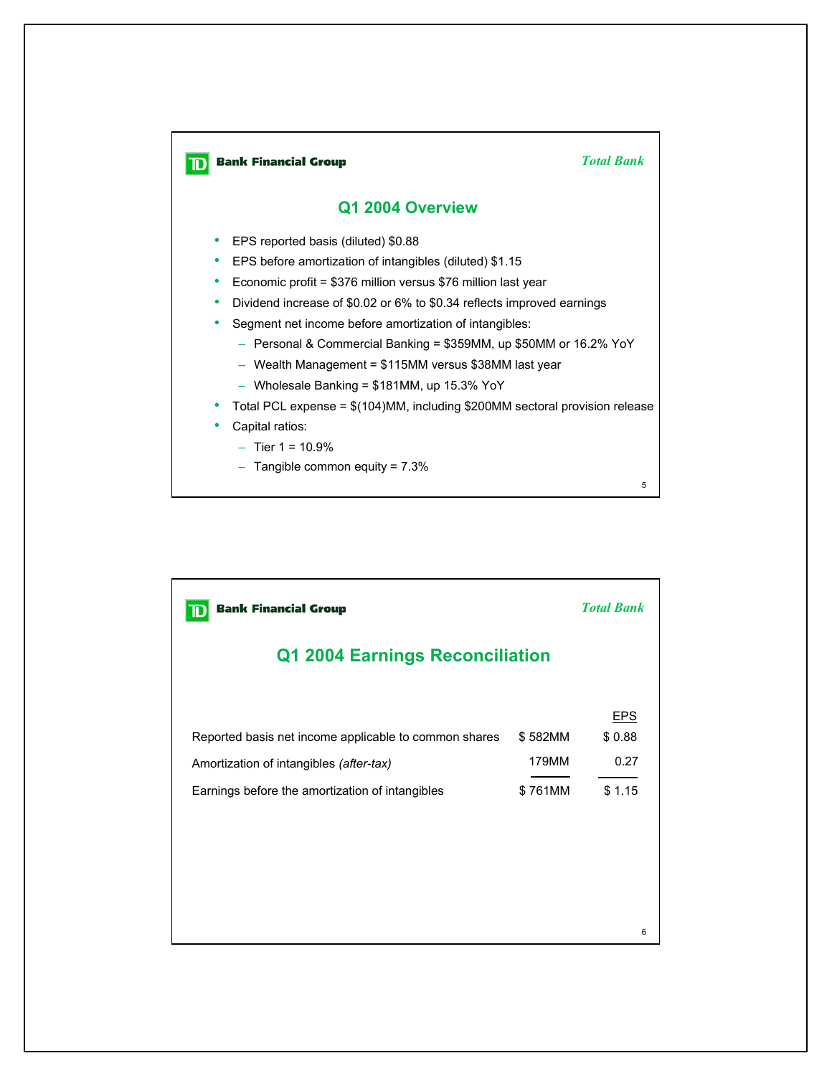

| <b>Bank Financial Group</b>                                                                      | <b>Total Bank</b> |                              |  |  |  |  |
|--------------------------------------------------------------------------------------------------|-------------------|------------------------------|--|--|--|--|
| Q1 2004 Earnings Reconciliation                                                                  |                   |                              |  |  |  |  |
| Reported basis net income applicable to common shares<br>Amortization of intangibles (after-tax) | \$582MM<br>179MM  | <b>EPS</b><br>\$0.88<br>0.27 |  |  |  |  |
| Earnings before the amortization of intangibles                                                  | \$761MM           | \$1.15                       |  |  |  |  |
|                                                                                                  |                   |                              |  |  |  |  |
|                                                                                                  |                   |                              |  |  |  |  |
|                                                                                                  |                   | 6                            |  |  |  |  |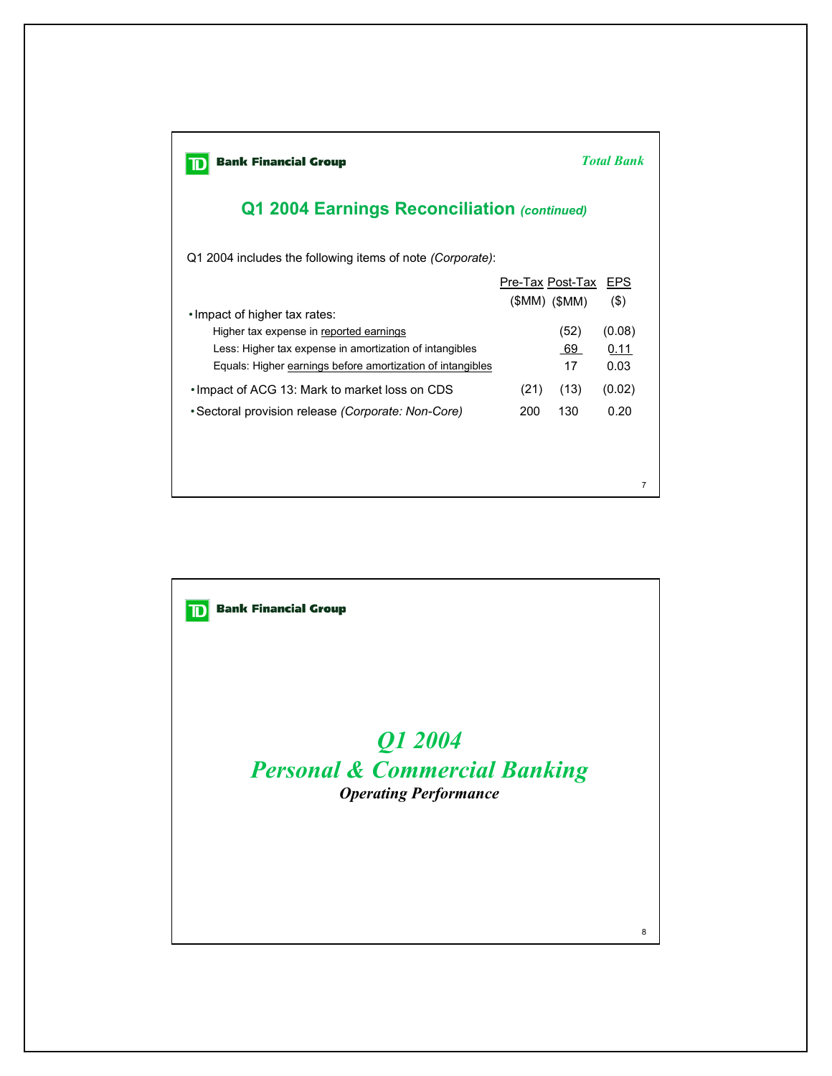| <b>Bank Financial Group</b><br><b>Total Bank</b>                                                                                                                 |             |                                     |                        |  |
|------------------------------------------------------------------------------------------------------------------------------------------------------------------|-------------|-------------------------------------|------------------------|--|
| Q1 2004 Earnings Reconciliation (continued)                                                                                                                      |             |                                     |                        |  |
| Q1 2004 includes the following items of note <i>(Corporate)</i> :                                                                                                |             |                                     |                        |  |
| . Impact of higher tax rates:                                                                                                                                    |             | Pre-Tax Post-Tax<br>$(SMM)$ $(SMM)$ | EPS<br>$($ \$)         |  |
| Higher tax expense in reported earnings<br>Less: Higher tax expense in amortization of intangibles<br>Equals: Higher earnings before amortization of intangibles |             | (52)<br>69<br>17                    | (0.08)<br>0.11<br>0.03 |  |
| • Impact of ACG 13: Mark to market loss on CDS<br>• Sectoral provision release (Corporate: Non-Core)                                                             | (21)<br>200 | (13)<br>130                         | (0.02)<br>0.20         |  |
|                                                                                                                                                                  |             |                                     | $\overline{7}$         |  |

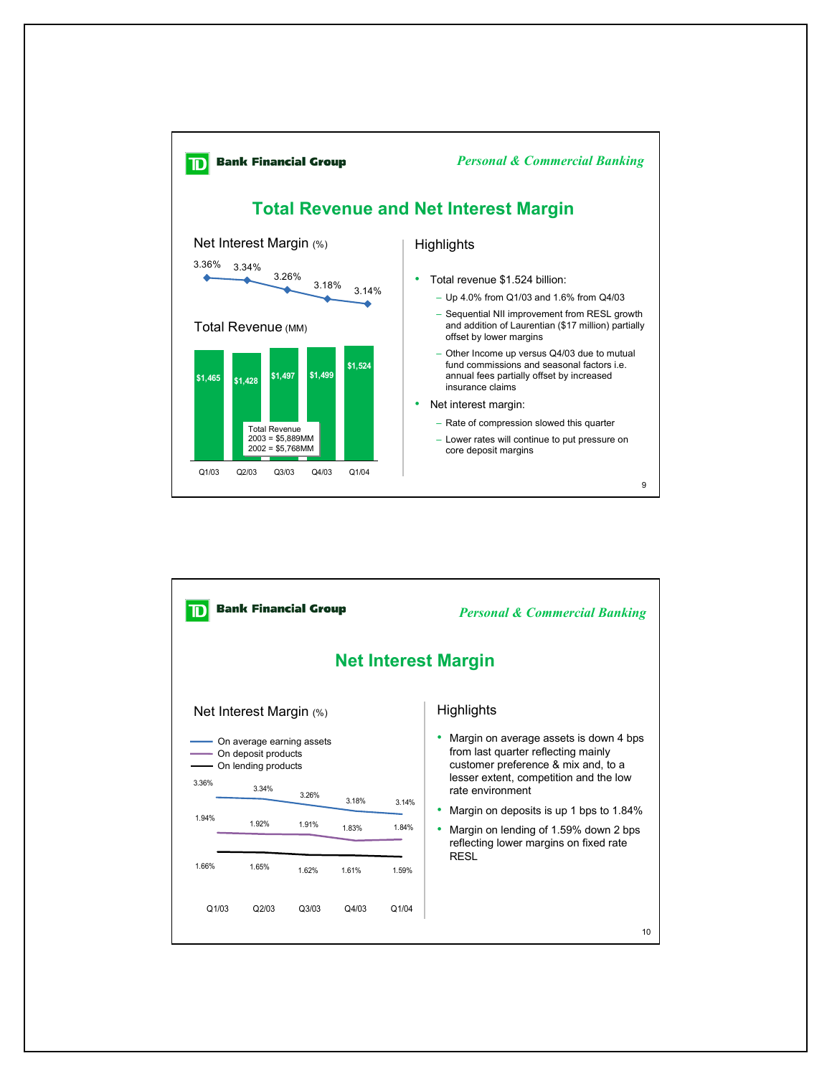

|       | <b>Bank Financial Group</b>                                                        |                | <b>Personal &amp; Commercial Banking</b> |                |                                                                                                                                                                                    |  |
|-------|------------------------------------------------------------------------------------|----------------|------------------------------------------|----------------|------------------------------------------------------------------------------------------------------------------------------------------------------------------------------------|--|
|       | <b>Net Interest Margin</b>                                                         |                |                                          |                |                                                                                                                                                                                    |  |
|       | Net Interest Margin $(\%)$                                                         |                |                                          |                | Highlights                                                                                                                                                                         |  |
| 3.36% | On average earning assets<br>On deposit products<br>- On lending products<br>3.34% |                |                                          |                | Margin on average assets is down 4 bps<br>from last quarter reflecting mainly<br>customer preference & mix and, to a<br>lesser extent, competition and the low<br>rate environment |  |
| 1.94% | 1.92%                                                                              | 3.26%<br>1.91% | 3.18%<br>1.83%                           | 3.14%<br>1.84% | Margin on deposits is up 1 bps to 1.84%<br>Margin on lending of 1.59% down 2 bps<br>reflecting lower margins on fixed rate                                                         |  |
| 1.66% | 1.65%                                                                              | 1.62%          | 1.61%                                    | 1.59%          | <b>RESL</b>                                                                                                                                                                        |  |
| Q1/03 | Q2/03                                                                              | Q3/03          | Q4/03                                    | Q1/04          | 10                                                                                                                                                                                 |  |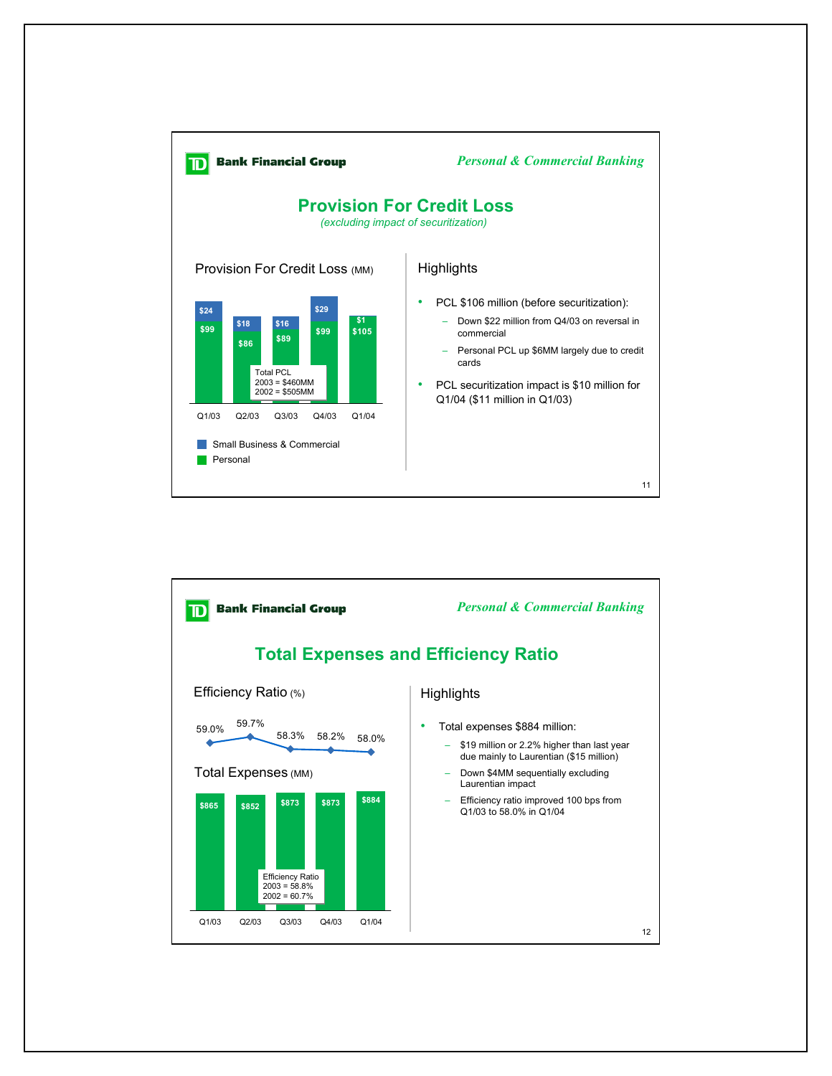

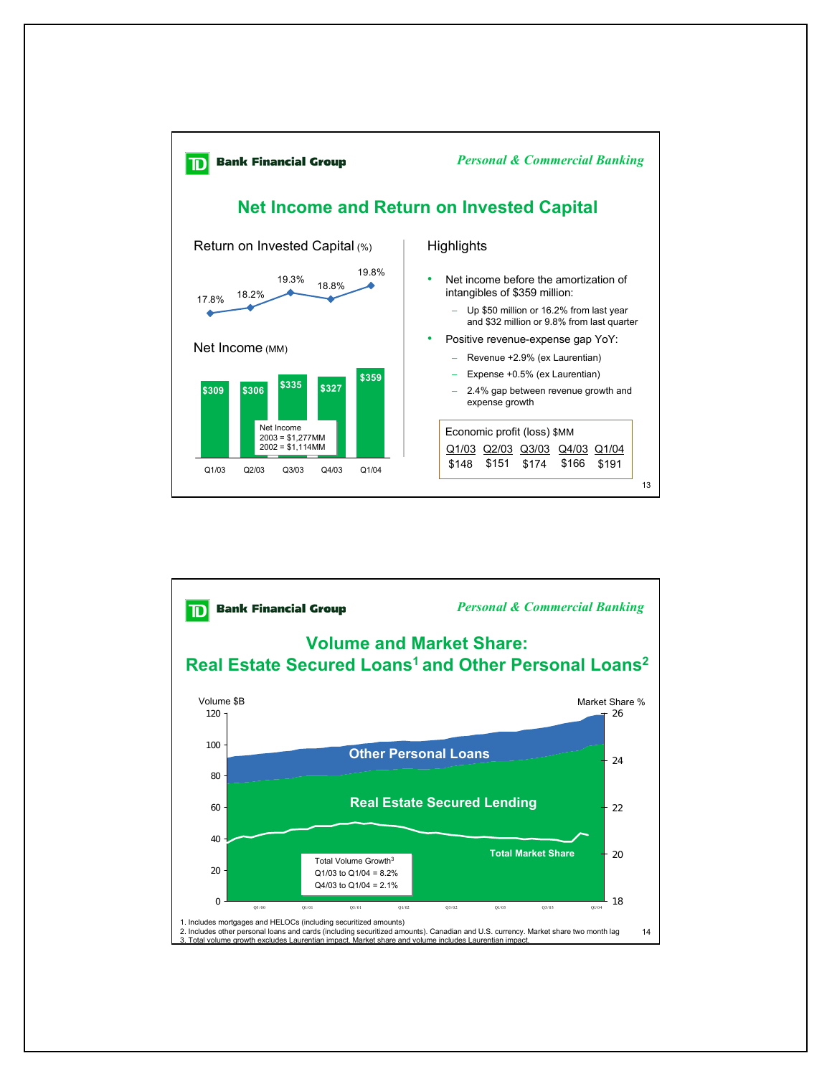

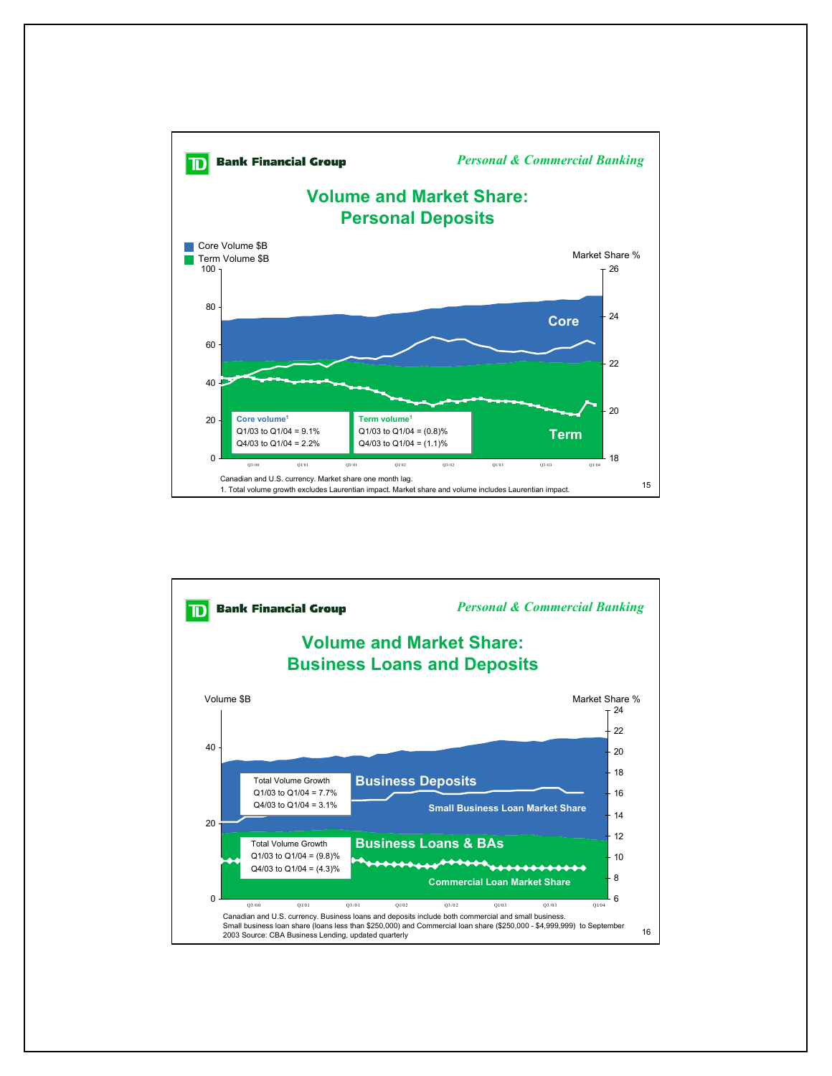

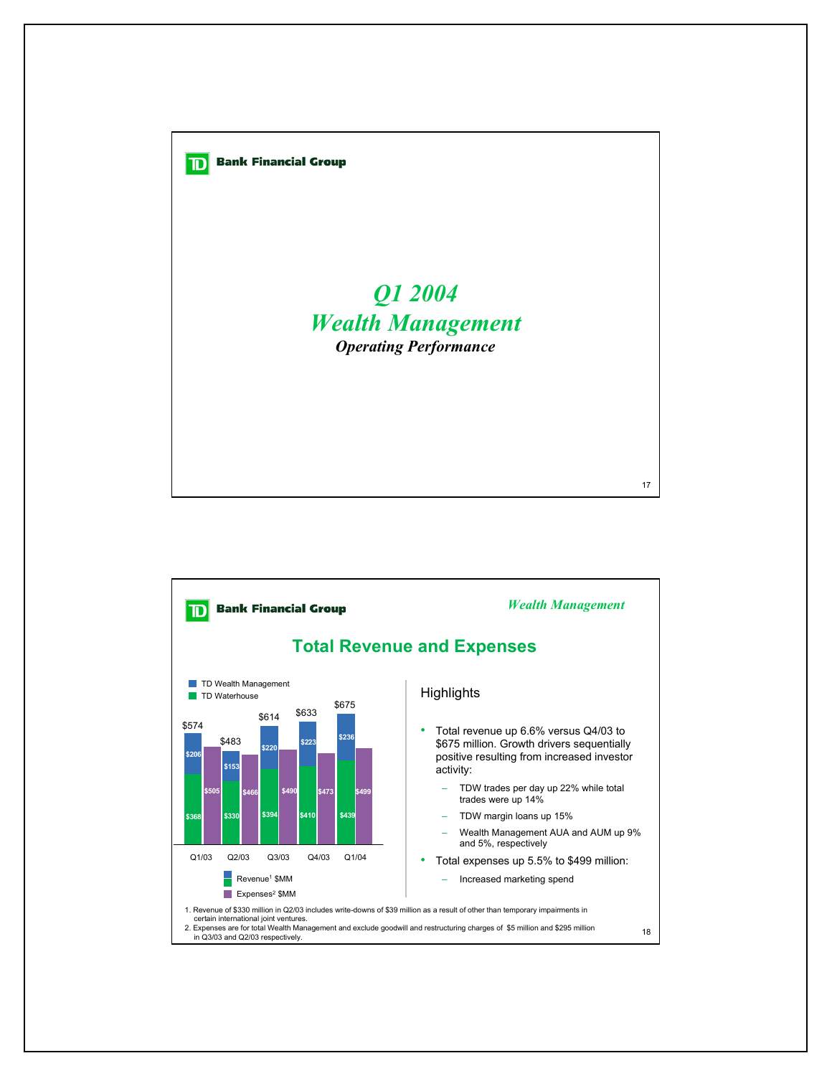

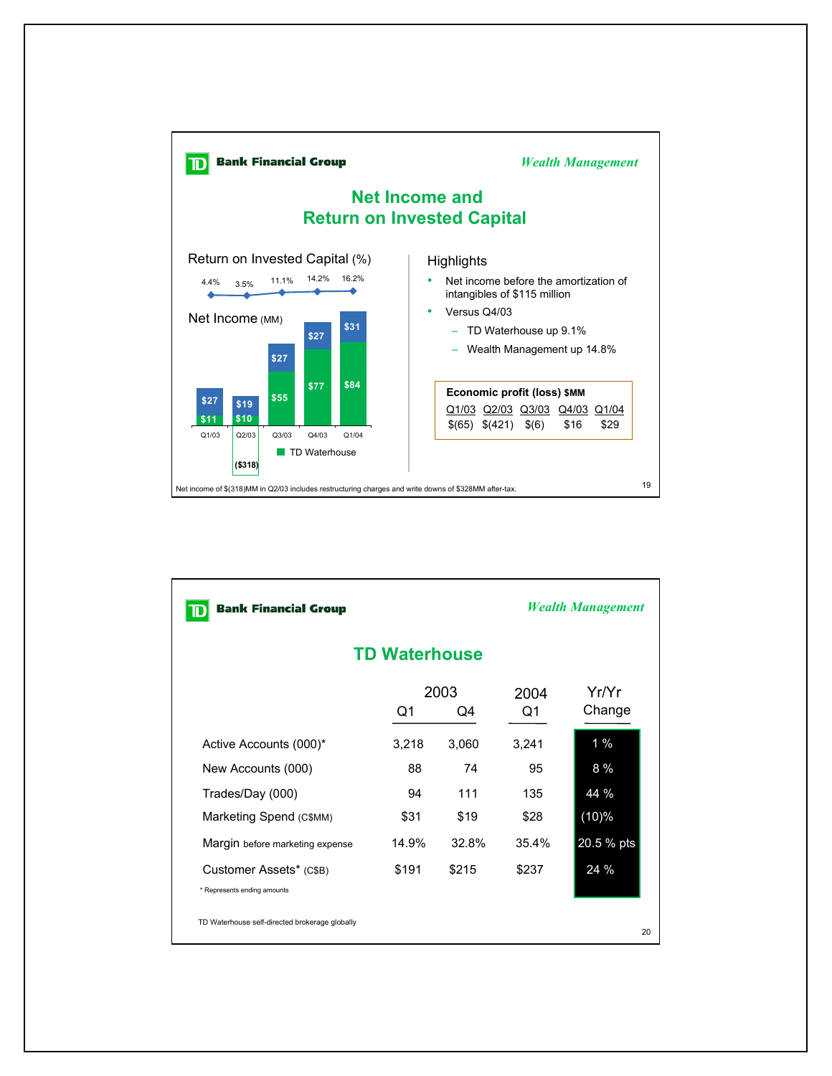

| <b>Bank Financial Group</b>                    |                  |       | <b>Wealth Management</b> |                 |  |  |  |
|------------------------------------------------|------------------|-------|--------------------------|-----------------|--|--|--|
| <b>TD Waterhouse</b>                           |                  |       |                          |                 |  |  |  |
|                                                | 2003<br>Q1<br>Q4 |       | 2004<br>Q1               | Yr/Yr<br>Change |  |  |  |
| Active Accounts (000)*                         | 3,218            | 3,060 | 3,241                    | $1\%$           |  |  |  |
| New Accounts (000)                             | 88               | 74    | 95                       | $8\%$           |  |  |  |
| Trades/Day (000)                               | 94               | 111   | 135                      | 44 %            |  |  |  |
| Marketing Spend (C\$MM)                        | \$31             | \$19  | \$28                     | (10)%           |  |  |  |
| Margin before marketing expense                | 14.9%            | 32.8% | 35.4%                    | 20.5 % pts      |  |  |  |
| Customer Assets* (C\$B)                        | \$191            | \$215 | \$237                    | 24 %            |  |  |  |
| * Represents ending amounts                    |                  |       |                          |                 |  |  |  |
| TD Waterhouse self-directed brokerage globally |                  |       |                          | 20              |  |  |  |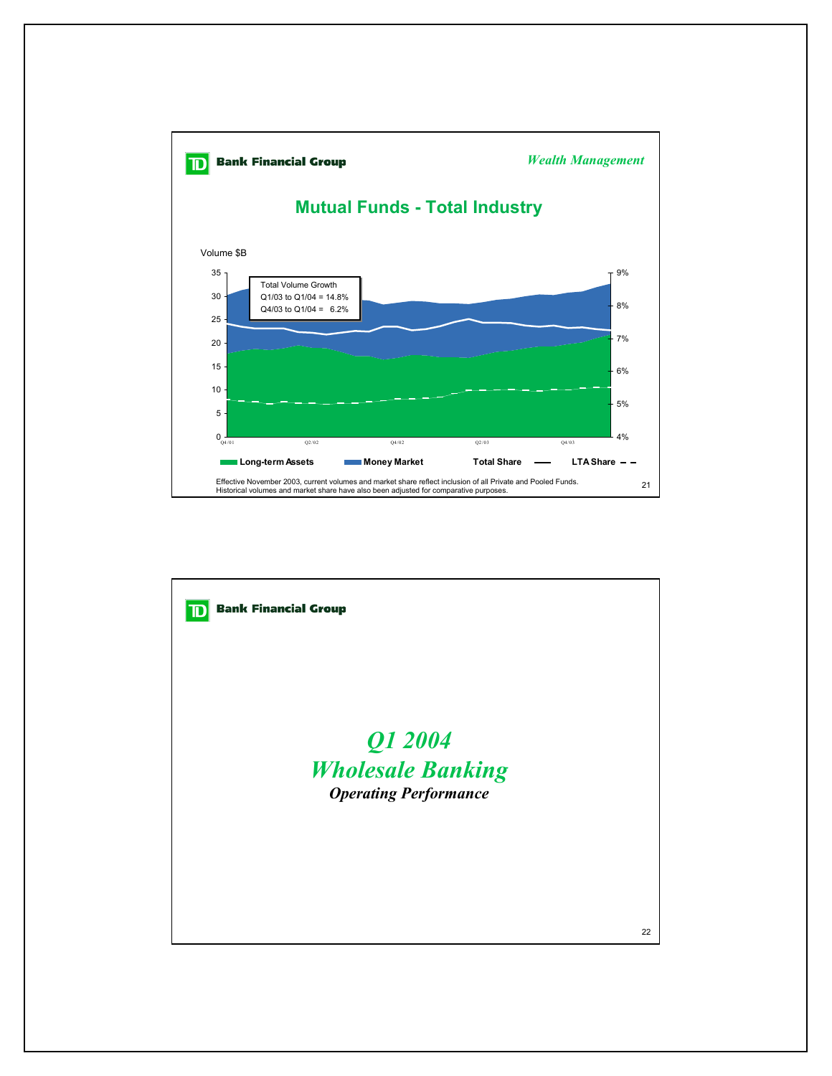

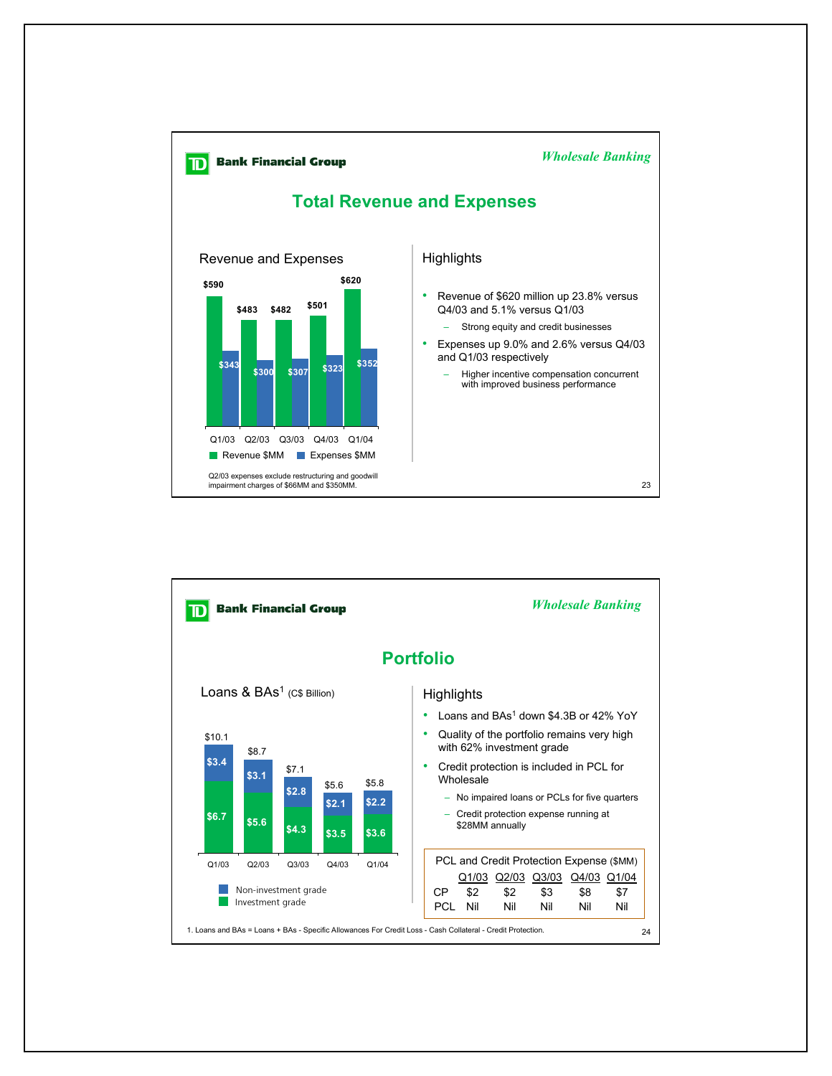

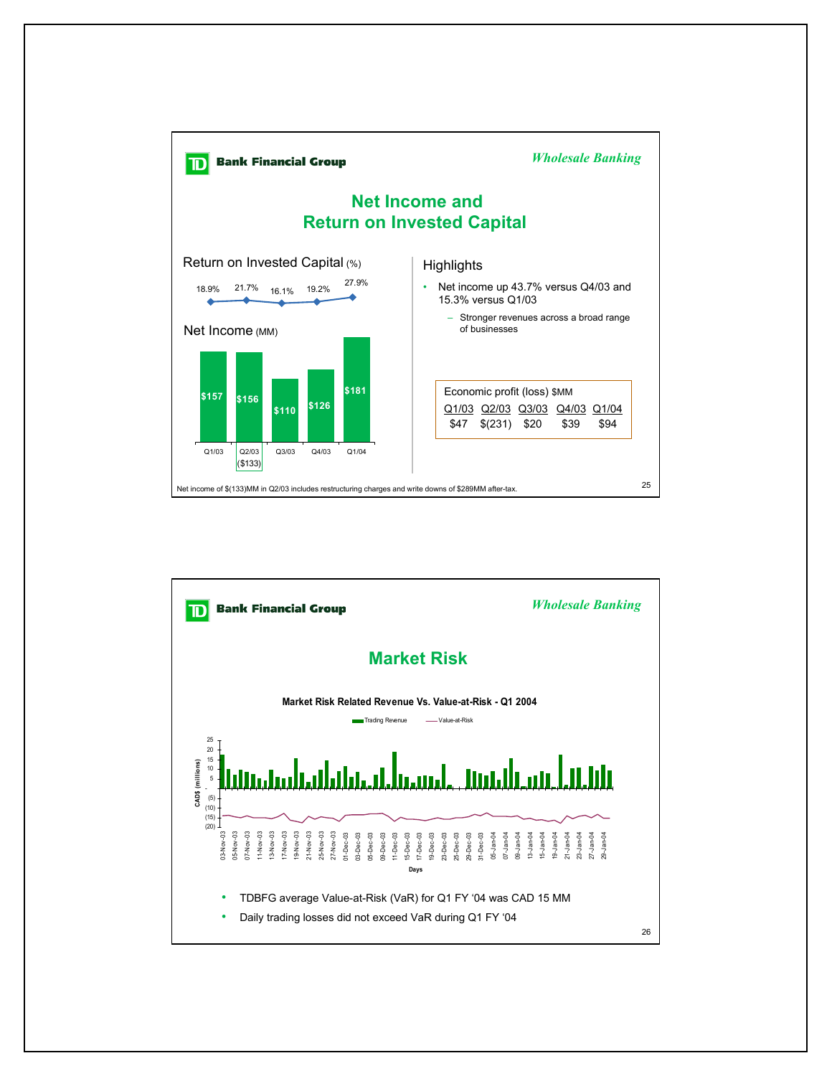

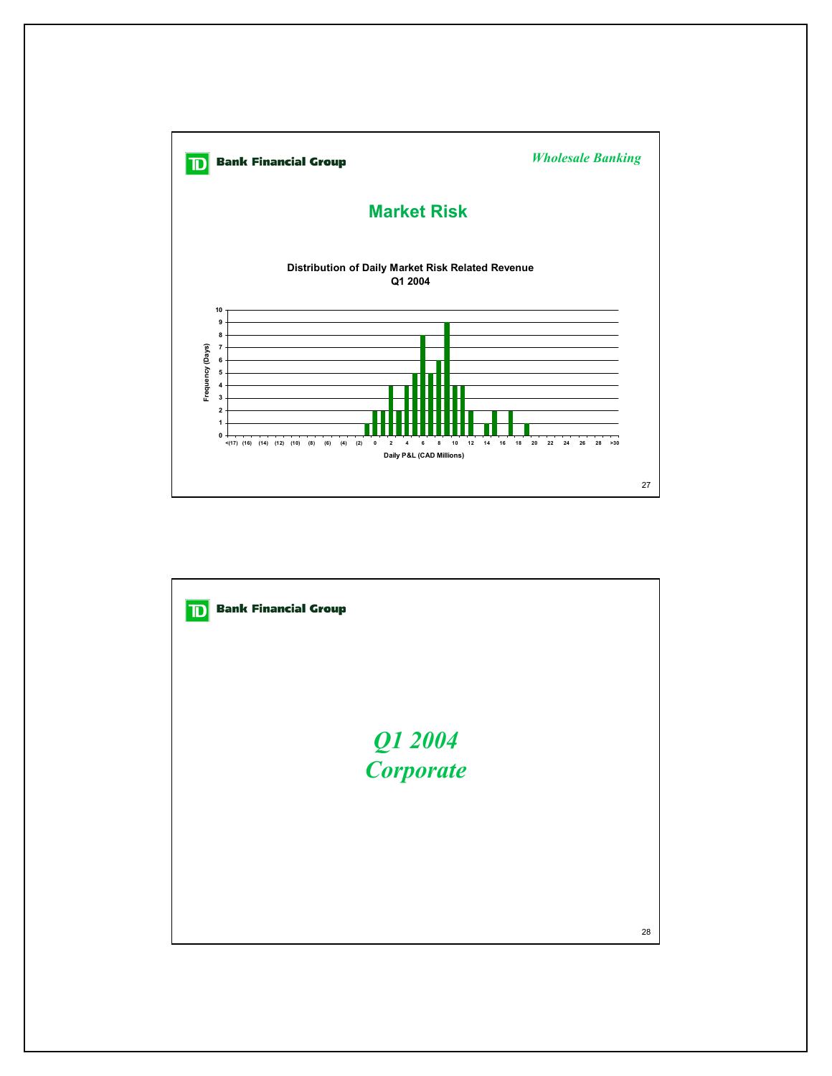

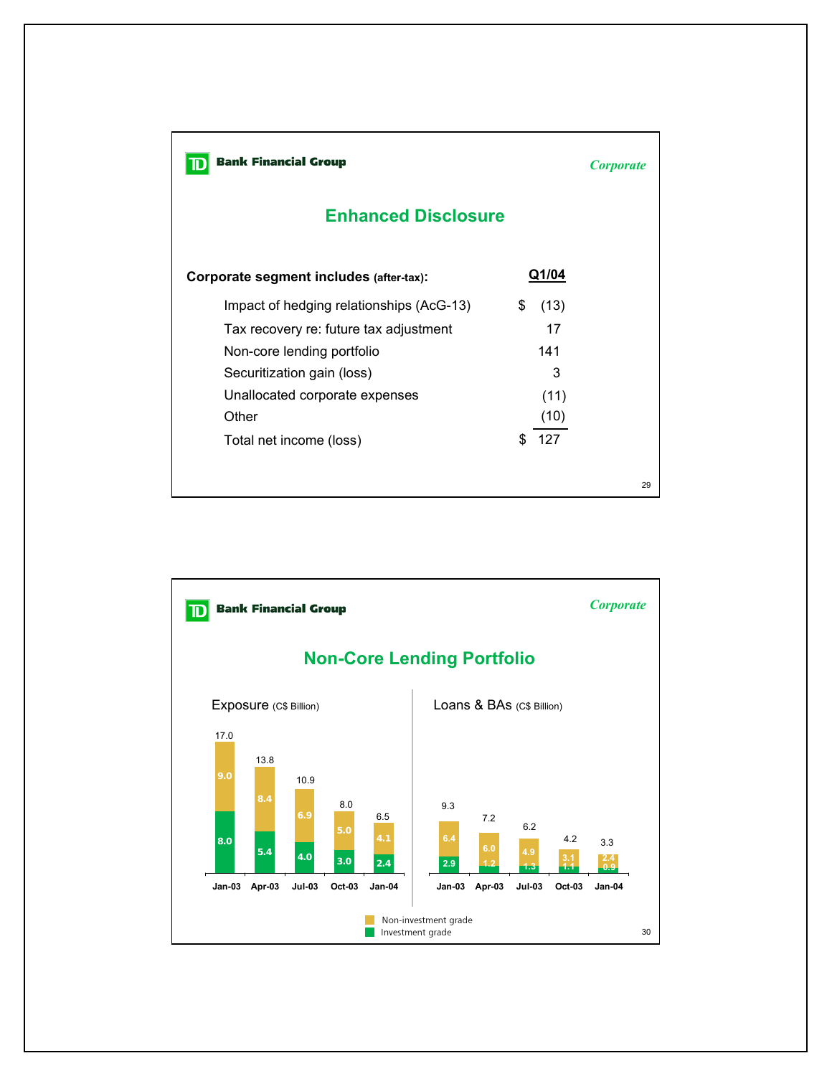**D** Bank Financial Group

*Corporate*

29

## **Enhanced Disclosure**

| Corporate segment includes (after-tax):  | Q1/04     |  |
|------------------------------------------|-----------|--|
| Impact of hedging relationships (AcG-13) | (13)<br>S |  |
| Tax recovery re: future tax adjustment   | 17        |  |
| Non-core lending portfolio               | 141       |  |
| Securitization gain (loss)               | 3         |  |
| Unallocated corporate expenses           | (11)      |  |
| Other                                    | (10)      |  |
| Total net income (loss)                  | 127<br>S. |  |
|                                          |           |  |
|                                          |           |  |